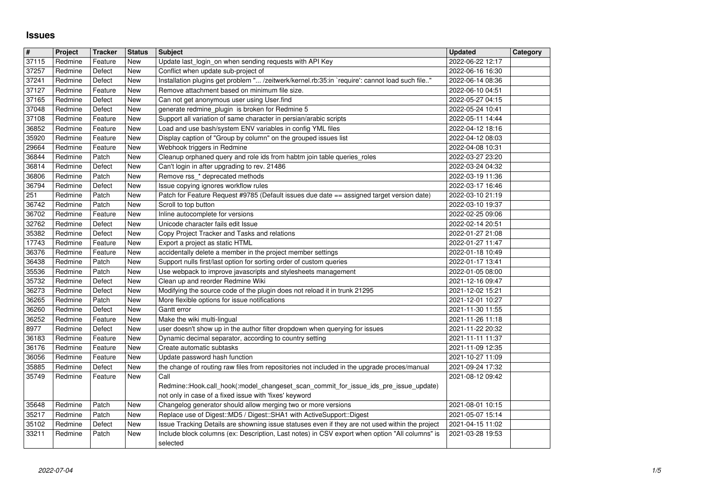## **Issues**

| $\overline{\mathbf{H}}$ | Project            | <b>Tracker</b>     | <b>Status</b>            | <b>Subject</b>                                                                                                                                  | <b>Updated</b>                       | Category |
|-------------------------|--------------------|--------------------|--------------------------|-------------------------------------------------------------------------------------------------------------------------------------------------|--------------------------------------|----------|
| 37115                   | Redmine            | Feature            | New                      | Update last login on when sending requests with API Key                                                                                         | 2022-06-22 12:17                     |          |
| 37257                   | Redmine            | Defect             | New                      | Conflict when update sub-project of                                                                                                             | 2022-06-16 16:30                     |          |
| 37241<br>37127          | Redmine<br>Redmine | Defect<br>Feature  | <b>New</b><br>New        | Installation plugins get problem " /zeitwerk/kernel.rb:35:in `require': cannot load such file"<br>Remove attachment based on minimum file size. | 2022-06-14 08:36<br>2022-06-10 04:51 |          |
| 37165                   | Redmine            | Defect             | <b>New</b>               | Can not get anonymous user using User.find                                                                                                      | 2022-05-27 04:15                     |          |
| 37048                   | Redmine            | Defect             | <b>New</b>               | generate redmine_plugin_is broken for Redmine 5                                                                                                 | 2022-05-24 10:41                     |          |
| 37108                   | Redmine            | Feature            | New                      | Support all variation of same character in persian/arabic scripts                                                                               | 2022-05-11 14:44                     |          |
| 36852<br>35920          | Redmine<br>Redmine | Feature            | <b>New</b><br>New        | Load and use bash/system ENV variables in config YML files<br>Display caption of "Group by column" on the grouped issues list                   | 2022-04-12 18:16<br>2022-04-12 08:03 |          |
| 29664                   | Redmine            | Feature<br>Feature | <b>New</b>               | Webhook triggers in Redmine                                                                                                                     | 2022-04-08 10:31                     |          |
| 36844                   | Redmine            | Patch              | <b>New</b>               | Cleanup orphaned query and role ids from habtm join table queries_roles                                                                         | 2022-03-27 23:20                     |          |
| 36814                   | Redmine            | Defect             | <b>New</b>               | Can't login in after upgrading to rev. 21486                                                                                                    | 2022-03-24 04:32                     |          |
| 36806                   | Redmine            | Patch              | <b>New</b>               | Remove rss_* deprecated methods                                                                                                                 | 2022-03-19 11:36                     |          |
| 36794<br>251            | Redmine<br>Redmine | Defect<br>Patch    | New<br><b>New</b>        | Issue copying ignores workflow rules<br>Patch for Feature Request #9785 (Default issues due date == assigned target version date)               | 2022-03-17 16:46<br>2022-03-10 21:19 |          |
| 36742                   | Redmine            | Patch              | <b>New</b>               | Scroll to top button                                                                                                                            | 2022-03-10 19:37                     |          |
| 36702                   | Redmine            | Feature            | <b>New</b>               | Inline autocomplete for versions                                                                                                                | 2022-02-25 09:06                     |          |
| 32762                   | Redmine            | Defect             | New                      | Unicode character fails edit Issue                                                                                                              | 2022-02-14 20:51                     |          |
| 35382                   | Redmine            | Defect             | New                      | Copy Project Tracker and Tasks and relations                                                                                                    | 2022-01-27 21:08                     |          |
| 17743<br>36376          | Redmine<br>Redmine | Feature<br>Feature | <b>New</b><br>New        | Export a project as static HTML<br>accidentally delete a member in the project member settings                                                  | 2022-01-27 11:47<br>2022-01-18 10:49 |          |
| 36438                   | Redmine            | Patch              | New                      | Support nulls first/last option for sorting order of custom queries                                                                             | 2022-01-17 13:41                     |          |
| 35536                   | Redmine            | Patch              | <b>New</b>               | Use webpack to improve javascripts and stylesheets management                                                                                   | 2022-01-05 08:00                     |          |
| 35732                   | Redmine            | Defect             | <b>New</b>               | Clean up and reorder Redmine Wiki                                                                                                               | 2021-12-16 09:47                     |          |
| 36273<br>36265          | Redmine<br>Redmine | Defect<br>Patch    | <b>New</b><br><b>New</b> | Modifying the source code of the plugin does not reload it in trunk 21295<br>More flexible options for issue notifications                      | 2021-12-02 15:21<br>2021-12-01 10:27 |          |
| 36260                   | Redmine            | Defect             | New                      | Gantt error                                                                                                                                     | 2021-11-30 11:55                     |          |
| 36252                   | Redmine            | Feature            | New                      | Make the wiki multi-lingual                                                                                                                     | 2021-11-26 11:18                     |          |
| 8977                    | Redmine            | Defect             | <b>New</b>               | user doesn't show up in the author filter dropdown when querying for issues                                                                     | 2021-11-22 20:32                     |          |
| 36183<br>36176          | Redmine<br>Redmine | Feature<br>Feature | New<br><b>New</b>        | Dynamic decimal separator, according to country setting<br>Create automatic subtasks                                                            | 2021-11-11 11:37<br>2021-11-09 12:35 |          |
| 36056                   | Redmine            | Feature            | New                      | Update password hash function                                                                                                                   | 2021-10-27 11:09                     |          |
| 35885                   | Redmine            | Defect             | New                      | the change of routing raw files from repositories not included in the upgrade proces/manual                                                     | 2021-09-24 17:32                     |          |
| 35749                   | Redmine            | Feature            | New                      | Call                                                                                                                                            | 2021-08-12 09:42                     |          |
|                         |                    |                    |                          | Redmine::Hook.call_hook(:model_changeset_scan_commit_for_issue_ids_pre_issue_update)                                                            |                                      |          |
| 35648                   | Redmine            | Patch              | New                      | not only in case of a fixed issue with 'fixes' keyword<br>Changelog generator should allow merging two or more versions                         | 2021-08-01 10:15                     |          |
| 35217                   | Redmine            | Patch              | New                      | Replace use of Digest:: MD5 / Digest:: SHA1 with ActiveSupport:: Digest                                                                         | 2021-05-07 15:14                     |          |
| 35102                   | Redmine            | Defect             | New                      | Issue Tracking Details are showning issue statuses even if they are not used within the project                                                 | 2021-04-15 11:02                     |          |
| 33211                   | Redmine            | Patch              | New                      | Include block columns (ex: Description, Last notes) in CSV export when option "All columns" is<br>selected                                      | 2021-03-28 19:53                     |          |
|                         |                    |                    |                          |                                                                                                                                                 |                                      |          |
|                         |                    |                    |                          |                                                                                                                                                 |                                      |          |
|                         |                    |                    |                          |                                                                                                                                                 |                                      |          |
|                         |                    |                    |                          |                                                                                                                                                 |                                      |          |
|                         |                    |                    |                          |                                                                                                                                                 |                                      |          |
|                         |                    |                    |                          |                                                                                                                                                 |                                      |          |
|                         |                    |                    |                          |                                                                                                                                                 |                                      |          |
|                         |                    |                    |                          |                                                                                                                                                 |                                      |          |
|                         |                    |                    |                          |                                                                                                                                                 |                                      |          |
|                         |                    |                    |                          |                                                                                                                                                 |                                      |          |
|                         |                    |                    |                          |                                                                                                                                                 |                                      |          |
|                         |                    |                    |                          |                                                                                                                                                 |                                      |          |
|                         |                    |                    |                          |                                                                                                                                                 |                                      |          |
|                         |                    |                    |                          |                                                                                                                                                 |                                      |          |
|                         |                    |                    |                          |                                                                                                                                                 |                                      |          |
|                         |                    |                    |                          |                                                                                                                                                 |                                      |          |
|                         |                    |                    |                          |                                                                                                                                                 |                                      |          |
|                         |                    |                    |                          |                                                                                                                                                 |                                      |          |
|                         |                    |                    |                          |                                                                                                                                                 |                                      |          |
|                         |                    |                    |                          |                                                                                                                                                 |                                      |          |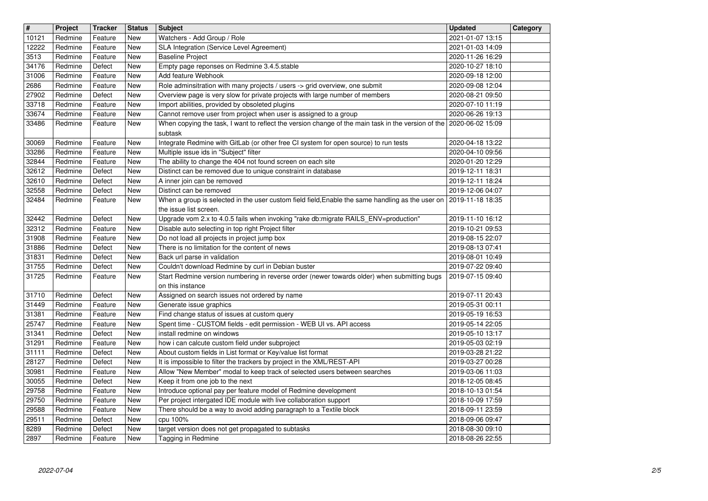| $\overline{\mathbf{H}}$ | Project            | <b>Tracker</b>     | <b>Status</b>     | <b>Subject</b>                                                                                                                            | <b>Updated</b>                       | Category |
|-------------------------|--------------------|--------------------|-------------------|-------------------------------------------------------------------------------------------------------------------------------------------|--------------------------------------|----------|
| 10121                   | Redmine            | Feature            | New               | Watchers - Add Group / Role                                                                                                               | 2021-01-07 13:15                     |          |
| 12222<br>3513           | Redmine<br>Redmine | Feature<br>Feature | <b>New</b><br>New | SLA Integration (Service Level Agreement)<br><b>Baseline Project</b>                                                                      | 2021-01-03 14:09<br>2020-11-26 16:29 |          |
| 34176                   | Redmine            | Defect             | New               | Empty page reponses on Redmine 3.4.5.stable                                                                                               | 2020-10-27 18:10                     |          |
| 31006                   | Redmine            | Feature            | New               | Add feature Webhook                                                                                                                       | 2020-09-18 12:00                     |          |
| 2686                    | Redmine            | Feature            | New               | Role adminsitration with many projects / users -> grid overview, one submit                                                               | 2020-09-08 12:04                     |          |
| 27902<br>33718          | Redmine<br>Redmine | Defect<br>Feature  | New<br>New        | Overview page is very slow for private projects with large number of members<br>Import abilities, provided by obsoleted plugins           | 2020-08-21 09:50<br>2020-07-10 11:19 |          |
| 33674                   | Redmine            | Feature            | New               | Cannot remove user from project when user is assigned to a group                                                                          | 2020-06-26 19:13                     |          |
| 33486                   | Redmine            | Feature            | New               | When copying the task, I want to reflect the version change of the main task in the version of the $\vert$ 2020-06-02 15:09               |                                      |          |
| 30069                   | Redmine            | Feature            | New               | subtask<br>Integrate Redmine with GitLab (or other free CI system for open source) to run tests                                           | 2020-04-18 13:22                     |          |
| 33286                   | Redmine            | Feature            | New               | Multiple issue ids in "Subject" filter                                                                                                    | 2020-04-10 09:56                     |          |
| 32844                   | Redmine            | Feature            | New               | The ability to change the 404 not found screen on each site                                                                               | 2020-01-20 12:29                     |          |
| 32612                   | Redmine            | Defect             | New               | Distinct can be removed due to unique constraint in database                                                                              | 2019-12-11 18:31                     |          |
| 32610<br>32558          | Redmine<br>Redmine | Defect<br>Defect   | New<br>New        | A inner join can be removed<br>Distinct can be removed                                                                                    | 2019-12-11 18:24<br>2019-12-06 04:07 |          |
| 32484                   | Redmine            | Feature            | New               | When a group is selected in the user custom field field, Enable the same handling as the user on                                          | 2019-11-18 18:35                     |          |
|                         |                    |                    |                   | the issue list screen.                                                                                                                    |                                      |          |
| 32442<br>32312          | Redmine<br>Redmine | Defect<br>Feature  | New<br>New        | Upgrade vom 2.x to 4.0.5 fails when invoking "rake db:migrate RAILS_ENV=production"<br>Disable auto selecting in top right Project filter | 2019-11-10 16:12<br>2019-10-21 09:53 |          |
| 31908                   | Redmine            | Feature            | New               | Do not load all projects in project jump box                                                                                              | 2019-08-15 22:07                     |          |
| 31886                   | Redmine            | Defect             | New               | There is no limitation for the content of news                                                                                            | 2019-08-13 07:41                     |          |
| 31831<br>31755          | Redmine<br>Redmine | Defect<br>Defect   | New<br>New        | Back url parse in validation<br>Couldn't download Redmine by curl in Debian buster                                                        | 2019-08-01 10:49<br>2019-07-22 09:40 |          |
| 31725                   | Redmine            | Feature            | New               | Start Redmine version numbering in reverse order (newer towards older) when submitting bugs                                               | 2019-07-15 09:40                     |          |
|                         |                    |                    |                   | on this instance                                                                                                                          |                                      |          |
| 31710                   | Redmine            | Defect             | New               | Assigned on search issues not ordered by name                                                                                             | 2019-07-11 20:43                     |          |
| 31449<br>31381          | Redmine<br>Redmine | Feature<br>Feature | New<br>New        | Generate issue graphics<br>Find change status of issues at custom query                                                                   | 2019-05-31 00:11<br>2019-05-19 16:53 |          |
| 25747                   | Redmine            | Feature            | New               | Spent time - CUSTOM fields - edit permission - WEB UI vs. API access                                                                      | 2019-05-14 22:05                     |          |
| 31341                   | Redmine            | Defect             | New               | install redmine on windows                                                                                                                | 2019-05-10 13:17                     |          |
| 31291                   | Redmine            | Feature            | New               | how i can calcute custom field under subproject                                                                                           | 2019-05-03 02:19                     |          |
| 31111<br>28127          | Redmine<br>Redmine | Defect<br>Defect   | New<br>New        | About custom fields in List format or Key/value list format<br>It is impossible to filter the trackers by project in the XML/REST-API     | 2019-03-28 21:22<br>2019-03-27 00:28 |          |
| 30981                   | Redmine            | Feature            | New               | Allow "New Member" modal to keep track of selected users between searches                                                                 | 2019-03-06 11:03                     |          |
| 30055                   | Redmine            | Defect             | <b>New</b>        | Keep it from one job to the next                                                                                                          | 2018-12-05 08:45                     |          |
| 29758<br>29750          | Redmine<br>Redmine | Feature<br>Feature | New<br>New        | Introduce optional pay per feature model of Redmine development<br>Per project intergated IDE module with live collaboration support      | 2018-10-13 01:54<br>2018-10-09 17:59 |          |
| 29588                   | Redmine            | Feature            | New               | There should be a way to avoid adding paragraph to a Textile block                                                                        | 2018-09-11 23:59                     |          |
| 29511                   | Redmine            | Defect             | New               | cpu 100%                                                                                                                                  | 2018-09-06 09:47                     |          |
| 8289<br>2897            | Redmine<br>Redmine | Defect<br>Feature  | New<br>New        | target version does not get propagated to subtasks<br>Tagging in Redmine                                                                  | 2018-08-30 09:10<br>2018-08-26 22:55 |          |
|                         |                    |                    |                   |                                                                                                                                           |                                      |          |
|                         |                    |                    |                   |                                                                                                                                           |                                      |          |
|                         |                    |                    |                   |                                                                                                                                           |                                      |          |
|                         |                    |                    |                   |                                                                                                                                           |                                      |          |
|                         |                    |                    |                   |                                                                                                                                           |                                      |          |
|                         |                    |                    |                   |                                                                                                                                           |                                      |          |
|                         |                    |                    |                   |                                                                                                                                           |                                      |          |
|                         |                    |                    |                   |                                                                                                                                           |                                      |          |
|                         |                    |                    |                   |                                                                                                                                           |                                      |          |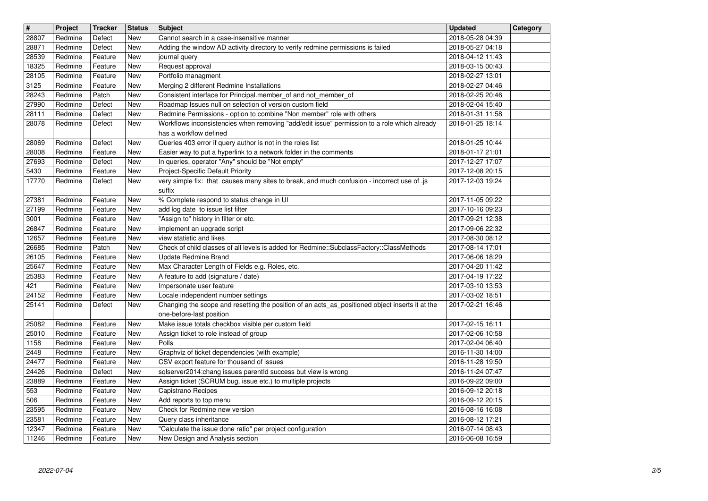| $\overline{\mathbf{H}}$ | Project            | <b>Tracker</b>     | <b>Status</b>                    | <b>Subject</b>                                                                                                                                                       | <b>Updated</b>                       | Category |
|-------------------------|--------------------|--------------------|----------------------------------|----------------------------------------------------------------------------------------------------------------------------------------------------------------------|--------------------------------------|----------|
| 28807<br>28871          | Redmine<br>Redmine | Defect<br>Defect   | New<br>New                       | Cannot search in a case-insensitive manner<br>Adding the window AD activity directory to verify redmine permissions is failed                                        | 2018-05-28 04:39<br>2018-05-27 04:18 |          |
| 28539                   | Redmine            | Feature            | New                              | journal query                                                                                                                                                        | 2018-04-12 11:43                     |          |
| 18325<br>28105          | Redmine<br>Redmine | Feature<br>Feature | New<br>New                       | Request approval<br>Portfolio managment                                                                                                                              | 2018-03-15 00:43<br>2018-02-27 13:01 |          |
| 3125<br>28243           | Redmine            | Feature            | New                              | Merging 2 different Redmine Installations                                                                                                                            | 2018-02-27 04:46                     |          |
| 27990                   | Redmine<br>Redmine | Patch<br>Defect    | New<br>New                       | Consistent interface for Principal.member_of and not_member_of<br>Roadmap Issues null on selection of version custom field                                           | 2018-02-25 20:46<br>2018-02-04 15:40 |          |
| 28111<br>28078          | Redmine<br>Redmine | Defect<br>Defect   | <b>New</b>                       | Redmine Permissions - option to combine "Non member" role with others<br>Workflows inconsistencies when removing "add/edit issue" permission to a role which already | 2018-01-31 11:58<br>2018-01-25 18:14 |          |
|                         |                    |                    | New                              | has a workflow defined                                                                                                                                               |                                      |          |
| 28069<br>28008          | Redmine<br>Redmine | Defect<br>Feature  | <b>New</b><br>New                | Queries 403 error if query author is not in the roles list<br>Easier way to put a hyperlink to a network folder in the comments                                      | 2018-01-25 10:44<br>2018-01-17 21:01 |          |
| 27693                   | Redmine            | Defect             | New                              | In queries, operator "Any" should be "Not empty"                                                                                                                     | 2017-12-27 17:07                     |          |
| 5430<br>17770           | Redmine<br>Redmine | Feature<br>Defect  | New<br>New                       | Project-Specific Default Priority<br>very simple fix: that causes many sites to break, and much confusion - incorrect use of .js                                     | 2017-12-08 20:15<br>2017-12-03 19:24 |          |
|                         |                    |                    |                                  | suffix                                                                                                                                                               |                                      |          |
| 27381<br>27199          | Redmine<br>Redmine | Feature<br>Feature | New<br>New                       | % Complete respond to status change in UI<br>add log date to issue list filter                                                                                       | 2017-11-05 09:22<br>2017-10-16 09:23 |          |
| 3001                    | Redmine            | Feature            | New                              | "Assign to" history in filter or etc.                                                                                                                                | 2017-09-21 12:38                     |          |
| 26847<br>12657          | Redmine<br>Redmine | Feature<br>Feature | New<br>New                       | implement an upgrade script<br>view statistic and likes                                                                                                              | 2017-09-06 22:32<br>2017-08-30 08:12 |          |
| 26685<br>26105          | Redmine<br>Redmine | Patch<br>Feature   | New<br>New                       | Check of child classes of all levels is added for Redmine::SubclassFactory::ClassMethods<br><b>Update Redmine Brand</b>                                              | 2017-08-14 17:01<br>2017-06-06 18:29 |          |
| 25647                   | Redmine            | Feature            | New                              | Max Character Length of Fields e.g. Roles, etc.                                                                                                                      | 2017-04-20 11:42                     |          |
| 25383<br>421            | Redmine<br>Redmine | Feature<br>Feature | <b>New</b><br><b>New</b>         | A feature to add (signature / date)<br>Impersonate user feature                                                                                                      | 2017-04-19 17:22<br>2017-03-10 13:53 |          |
| 24152                   | Redmine            | Feature            | New                              | Locale independent number settings                                                                                                                                   | 2017-03-02 18:51                     |          |
| 25141                   | Redmine            | Defect             | New                              | Changing the scope and resetting the position of an acts_as_positioned object inserts it at the<br>one-before-last position                                          | 2017-02-21 16:46                     |          |
| 25082                   | Redmine            | Feature            | New                              | Make issue totals checkbox visible per custom field                                                                                                                  | 2017-02-15 16:11                     |          |
| 25010<br>1158           | Redmine<br>Redmine | Feature<br>Feature | New<br>New                       | Assign ticket to role instead of group<br>Polls                                                                                                                      | 2017-02-06 10:58<br>2017-02-04 06:40 |          |
| 2448                    | Redmine            | Feature            | New                              | Graphviz of ticket dependencies (with example)                                                                                                                       | 2016-11-30 14:00                     |          |
| 24477<br>24426          | Redmine<br>Redmine | Feature<br>Defect  | New<br>New                       | CSV export feature for thousand of issues<br>sqlserver2014:chang issues parentId success but view is wrong                                                           | 2016-11-28 19:50<br>2016-11-24 07:47 |          |
| 23889                   | Redmine            | Feature            | New                              | Assign ticket (SCRUM bug, issue etc.) to multiple projects                                                                                                           | 2016-09-22 09:00                     |          |
| 553<br>506              | Redmine<br>Redmine | Feature<br>Feature | New<br>$\overline{\mathsf{New}}$ | Capistrano Recipes<br>Add reports to top menu                                                                                                                        | 2016-09-12 20:18<br>2016-09-12 20:15 |          |
| 23595                   | Redmine            | Feature            | New                              | Check for Redmine new version                                                                                                                                        | 2016-08-16 16:08                     |          |
| 23581<br>12347          | Redmine<br>Redmine | Feature<br>Feature | New<br>New                       | Query class inheritance<br>"Calculate the issue done ratio" per project configuration                                                                                | 2016-08-12 17:21<br>2016-07-14 08:43 |          |
| 11246                   | Redmine            | Feature            | New                              | New Design and Analysis section                                                                                                                                      | 2016-06-08 16:59                     |          |
|                         |                    |                    |                                  |                                                                                                                                                                      |                                      |          |
|                         |                    |                    |                                  |                                                                                                                                                                      |                                      |          |
|                         |                    |                    |                                  |                                                                                                                                                                      |                                      |          |
|                         |                    |                    |                                  |                                                                                                                                                                      |                                      |          |
|                         |                    |                    |                                  |                                                                                                                                                                      |                                      |          |
|                         |                    |                    |                                  |                                                                                                                                                                      |                                      |          |
|                         |                    |                    |                                  |                                                                                                                                                                      |                                      |          |
|                         |                    |                    |                                  |                                                                                                                                                                      |                                      |          |
|                         |                    |                    |                                  |                                                                                                                                                                      |                                      |          |
|                         |                    |                    |                                  |                                                                                                                                                                      |                                      |          |
|                         |                    |                    |                                  |                                                                                                                                                                      |                                      |          |
|                         |                    |                    |                                  |                                                                                                                                                                      |                                      |          |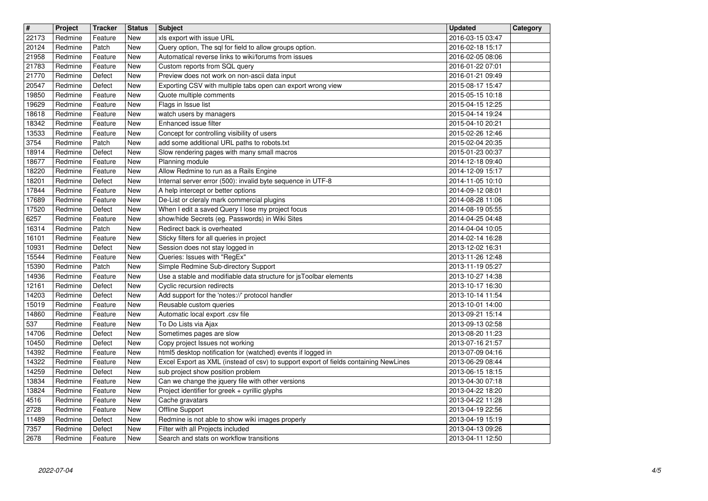| $\overline{\mathbf{H}}$ | Project            | <b>Tracker</b>     | <b>Status</b><br><b>New</b> | <b>Subject</b>                                                                                        | <b>Updated</b>                       | Category |
|-------------------------|--------------------|--------------------|-----------------------------|-------------------------------------------------------------------------------------------------------|--------------------------------------|----------|
| 22173<br>20124          | Redmine<br>Redmine | Feature<br>Patch   | New                         | xls export with issue URL<br>Query option, The sql for field to allow groups option.                  | 2016-03-15 03:47<br>2016-02-18 15:17 |          |
| 21958<br>21783          | Redmine<br>Redmine | Feature<br>Feature | New<br>New                  | Automatical reverse links to wiki/forums from issues<br>Custom reports from SQL query                 | 2016-02-05 08:06<br>2016-01-22 07:01 |          |
| 21770                   | Redmine            | Defect             | New                         | Preview does not work on non-ascii data input                                                         | 2016-01-21 09:49                     |          |
| 20547<br>19850          | Redmine<br>Redmine | Defect<br>Feature  | <b>New</b><br>New           | Exporting CSV with multiple tabs open can export wrong view<br>Quote multiple comments                | 2015-08-17 15:47<br>2015-05-15 10:18 |          |
| 19629                   | Redmine            | Feature            | New                         | Flags in Issue list                                                                                   | 2015-04-15 12:25                     |          |
| 18618                   | Redmine            | Feature<br>Feature | New                         | watch users by managers<br>Enhanced issue filter                                                      | 2015-04-14 19:24                     |          |
| 18342<br>13533          | Redmine<br>Redmine | Feature            | New<br>New                  | Concept for controlling visibility of users                                                           | 2015-04-10 20:21<br>2015-02-26 12:46 |          |
| 3754                    | Redmine            | Patch              | New                         | add some additional URL paths to robots.txt                                                           | 2015-02-04 20:35                     |          |
| 18914<br>18677          | Redmine<br>Redmine | Defect<br>Feature  | New<br><b>New</b>           | Slow rendering pages with many small macros<br>Planning module                                        | 2015-01-23 00:37<br>2014-12-18 09:40 |          |
| 18220<br>18201          | Redmine<br>Redmine | Feature<br>Defect  | <b>New</b><br><b>New</b>    | Allow Redmine to run as a Rails Engine<br>Internal server error (500): invalid byte sequence in UTF-8 | 2014-12-09 15:17<br>2014-11-05 10:10 |          |
| 17844                   | Redmine            | Feature            | <b>New</b>                  | A help intercept or better options                                                                    | 2014-09-12 08:01                     |          |
| 17689<br>17520          | Redmine<br>Redmine | Feature<br>Defect  | New<br>New                  | De-List or cleraly mark commercial plugins<br>When I edit a saved Query I lose my project focus       | 2014-08-28 11:06<br>2014-08-19 05:55 |          |
| 6257                    | Redmine            | Feature            | New                         | show/hide Secrets (eg. Passwords) in Wiki Sites                                                       | 2014-04-25 04:48                     |          |
| 16314<br>16101          | Redmine<br>Redmine | Patch<br>Feature   | <b>New</b><br>New           | Redirect back is overheated<br>Sticky filters for all queries in project                              | 2014-04-04 10:05<br>2014-02-14 16:28 |          |
| 10931                   | Redmine            | Defect             | New                         | Session does not stay logged in                                                                       | 2013-12-02 16:31                     |          |
| 15544<br>15390          | Redmine<br>Redmine | Feature<br>Patch   | New<br>New                  | Queries: Issues with "RegEx"<br>Simple Redmine Sub-directory Support                                  | 2013-11-26 12:48<br>2013-11-19 05:27 |          |
| 14936                   | Redmine            | Feature            | New                         | Use a stable and modifiable data structure for jsToolbar elements                                     | 2013-10-27 14:38                     |          |
| 12161<br>14203          | Redmine<br>Redmine | Defect<br>Defect   | New<br>New                  | Cyclic recursion redirects<br>Add support for the 'notes://' protocol handler                         | 2013-10-17 16:30<br>2013-10-14 11:54 |          |
| 15019                   | Redmine            | Feature            | New                         | Reusable custom queries                                                                               | 2013-10-01 14:00                     |          |
| 14860<br>537            | Redmine<br>Redmine | Feature<br>Feature | <b>New</b><br>New           | Automatic local export .csv file<br>To Do Lists via Ajax                                              | 2013-09-21 15:14<br>2013-09-13 02:58 |          |
| 14706                   | Redmine            | Defect             | <b>New</b>                  | Sometimes pages are slow                                                                              | 2013-08-20 11:23                     |          |
| 10450<br>14392          | Redmine<br>Redmine | Defect<br>Feature  | <b>New</b><br><b>New</b>    | Copy project Issues not working<br>html5 desktop notification for (watched) events if logged in       | 2013-07-16 21:57<br>2013-07-09 04:16 |          |
| 14322                   | Redmine            | Feature            | New                         | Excel Export as XML (instead of csv) to support export of fields containing NewLines                  | 2013-06-29 08:44                     |          |
| 14259<br>13834          | Redmine<br>Redmine | Defect<br>Feature  | New<br><b>New</b>           | sub project show position problem<br>Can we change the jquery file with other versions                | 2013-06-15 18:15<br>2013-04-30 07:18 |          |
| 13824                   | Redmine            | Feature            | New<br>New                  | Project identifier for greek + cyrillic glyphs                                                        | 2013-04-22 18:20                     |          |
| 4516<br>2728            | Redmine<br>Redmine | Feature<br>Feature | New                         | Cache gravatars<br>Offline Support                                                                    | 2013-04-22 11:28<br>2013-04-19 22:56 |          |
| 11489<br>7357           | Redmine<br>Redmine | Defect<br>Defect   | New<br>New                  | Redmine is not able to show wiki images properly<br>Filter with all Projects included                 | 2013-04-19 15:19<br>2013-04-13 09:26 |          |
| 2678                    | Redmine            | Feature            | New                         | Search and stats on workflow transitions                                                              | 2013-04-11 12:50                     |          |
|                         |                    |                    |                             |                                                                                                       |                                      |          |
|                         |                    |                    |                             |                                                                                                       |                                      |          |
|                         |                    |                    |                             |                                                                                                       |                                      |          |
|                         |                    |                    |                             |                                                                                                       |                                      |          |
|                         |                    |                    |                             |                                                                                                       |                                      |          |
|                         |                    |                    |                             |                                                                                                       |                                      |          |
|                         |                    |                    |                             |                                                                                                       |                                      |          |
|                         |                    |                    |                             |                                                                                                       |                                      |          |
|                         |                    |                    |                             |                                                                                                       |                                      |          |